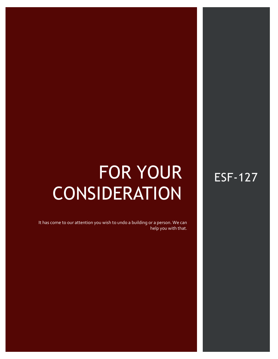# FOR YOUR **CONSIDERATION**

ESF-127 AESTHETIC BLYATS ISSUE #127 AESTHETIC BLYATS ISSUE #127 AESTHETIC BLYATS ISSUE #127 AESTHETIC #127 AES

It has come to our attention you wish to undo a building or a person. We can help you with that.

## ESF-127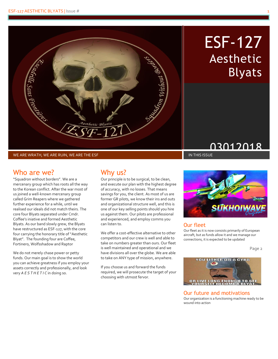

## ESF-127 Aesthetic Blyats

## **03012018**

WE ARE WRATH, WE ARE RUIN, WE ARE THE ESF

### Who are we?

"Squadron without borders". We are a mercenary group which has roots all the way to the Korean conflict. After the war most of us joined a well-known mercenary group called Grim Reapers where we gathered further experience for a while, until we realised our ideals did not match theirs. The core four Blyats separated under Cmdr. Coffee's iniative and formed Aesthetic Blyats. As our band slowly grew, the Blyats have restructured as ESF-127, with the core four carrying the honorary title of "Aesthetic Blyat". The founding four are Coffee, Fortinero, Wolfsshadow and Raptor

We do not merely chase power or petty funds. Our main goal is to show the world you can achieve greatness if you employ your assets correctly and professionally, and look very *A E S T H E T I C* in doing so.

### Why us?

Our principle is to be surgical, to be clean, and execute our plan with the highest degree of accuracy, with no losses. That means savings for you, the client. As most of us are former GR pilots, we know their ins and outs and organizational structure well, and this is one of our key selling points should you hire us against them. Our pilots are professional and experienced, and employ comms you can listen to.

We offer a cost-effective alternative to other competitors and our crew is well and able to take on numbers greater than ours. Our fleet is well maintained and operational and we have divisions all over the globe. We are able to take on ANY type of mission, anywhere.

If you choose us and forward the funds required, we will prosecute the target of your choosing with utmost fervor.



### Our fleet

Our fleet as it is now consists primarily of European aircraft, but as funds allow it and we manage our connections, it is expected to be updated

Page 2



#### Our future and motivations

Our organization is a functioning machine ready to be wound into action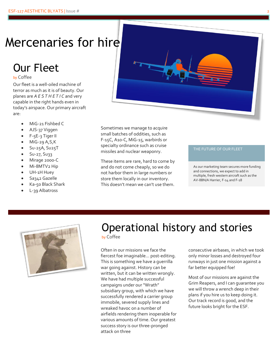## Mercenaries for hire

## Our Fleet

by Coffee

Our fleet is a well-oiled machine of terror as much as it is of beauty. Our planes are *A E S T H E T I C* and very capable in the right hands even in today's airspace. Our primary aircraft are:

- MiG-21 Fishbed C
- AJS-37 Viggen
- F-5E-3 Tiger II
- MiG-29 A,S,K
- Su-25A, Su25T
- Su-27, Su33
- Mirage 2000-C
- Mi-8MTV2 Hip
- UH-1H Huey
- Sa342 Gazelle
- Ka-50 Black Shark
- L-39 Albatross



Sometimes we manage to acquire small batches of oddities, such as F-15C, A10-C, MiG-15, warbirds or specialty ordinance such as cruise missiles and nuclear weaponry.

These items are rare, hard to come by and do not come cheaply, so we do not harbor them in large numbers or store them locally in our inventory. This doesn't mean we can't use them.

#### THE FUTURE OF OUR FLEET

As our marketing team secures more funding and connections, we expect to add in multiple, fresh western aircraft such as the AV-8BN/A Harrier, F-14 and F-18



## Operational history and stories

by Coffee

Often in our missions we face the fiercest foe imaginable… post-editing. This is something we have a guerrilla war going against. History can be written, but it can be written wrongly. We have had multiple successful campaigns under our "Wrath" subsidiary group, with which we have successfully rendered a carrier group immobile, severed supply lines and wreaked havoc on a number of airfields rendering them inoperable for various amounts of time. Our greatest success story is our three-pronged attack on three

consecutive airbases, in which we took only minor losses and destroyed four runways in just one mission against a far better equipped foe!

Most of our missions are against the Grim Reapers, and I can guarantee you we will throw a wrench deep in their plans if you hire us to keep doing it. Our track record is good, and the future looks bright for the ESF.